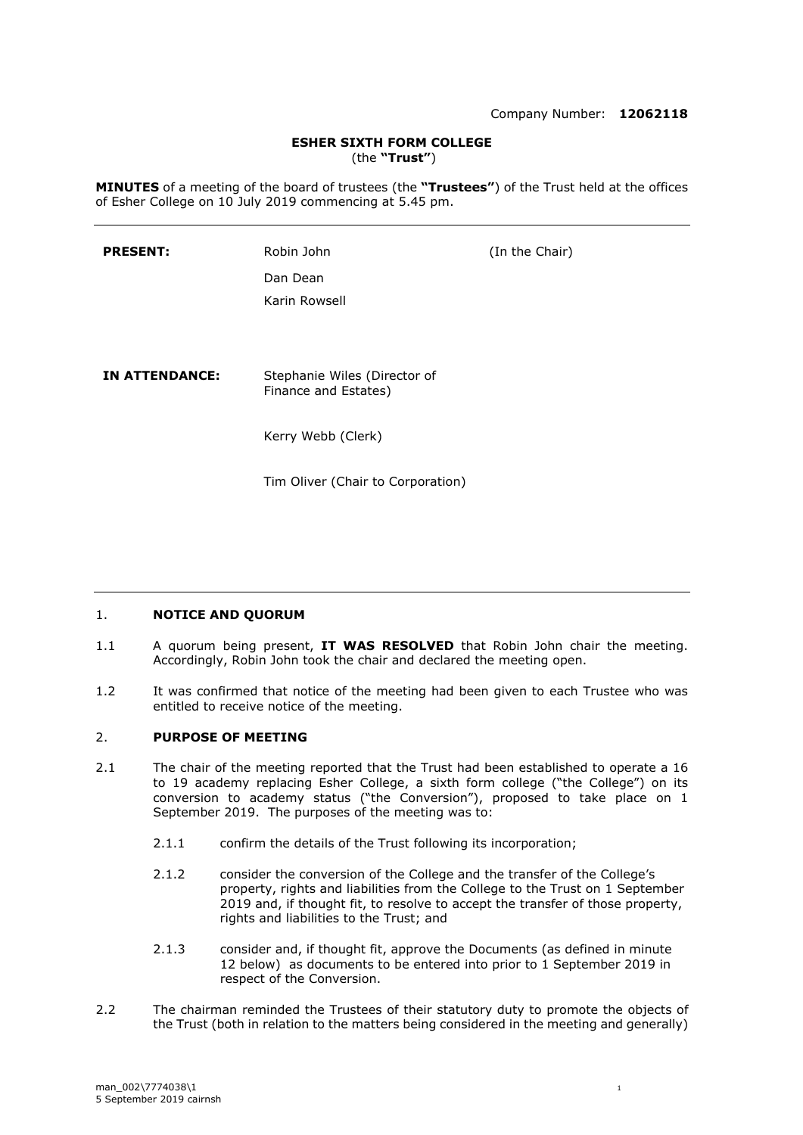#### **ESHER SIXTH FORM COLLEGE** (the **"Trust"**)

**MINUTES** of a meeting of the board of trustees (the **"Trustees"**) of the Trust held at the offices of Esher College on 10 July 2019 commencing at 5.45 pm.

| <b>PRESENT:</b>       | Robin John                                           | (In the Chair) |
|-----------------------|------------------------------------------------------|----------------|
|                       | Dan Dean                                             |                |
|                       | Karin Rowsell                                        |                |
|                       |                                                      |                |
|                       |                                                      |                |
| <b>IN ATTENDANCE:</b> | Stephanie Wiles (Director of<br>Finance and Estates) |                |
|                       | Kerry Webb (Clerk)                                   |                |
|                       | Tim Oliver (Chair to Corporation)                    |                |

### 1. **NOTICE AND QUORUM**

- 1.1 A quorum being present, **IT WAS RESOLVED** that Robin John chair the meeting. Accordingly, Robin John took the chair and declared the meeting open.
- 1.2 It was confirmed that notice of the meeting had been given to each Trustee who was entitled to receive notice of the meeting.

## 2. **PURPOSE OF MEETING**

- 2.1 The chair of the meeting reported that the Trust had been established to operate a 16 to 19 academy replacing Esher College, a sixth form college ("the College") on its conversion to academy status ("the Conversion"), proposed to take place on 1 September 2019. The purposes of the meeting was to:
	- 2.1.1 confirm the details of the Trust following its incorporation;
	- 2.1.2 consider the conversion of the College and the transfer of the College's property, rights and liabilities from the College to the Trust on 1 September 2019 and, if thought fit, to resolve to accept the transfer of those property, rights and liabilities to the Trust; and
	- 2.1.3 consider and, if thought fit, approve the Documents (as defined in minute 12 below) as documents to be entered into prior to 1 September 2019 in respect of the Conversion.
- 2.2 The chairman reminded the Trustees of their statutory duty to promote the objects of the Trust (both in relation to the matters being considered in the meeting and generally)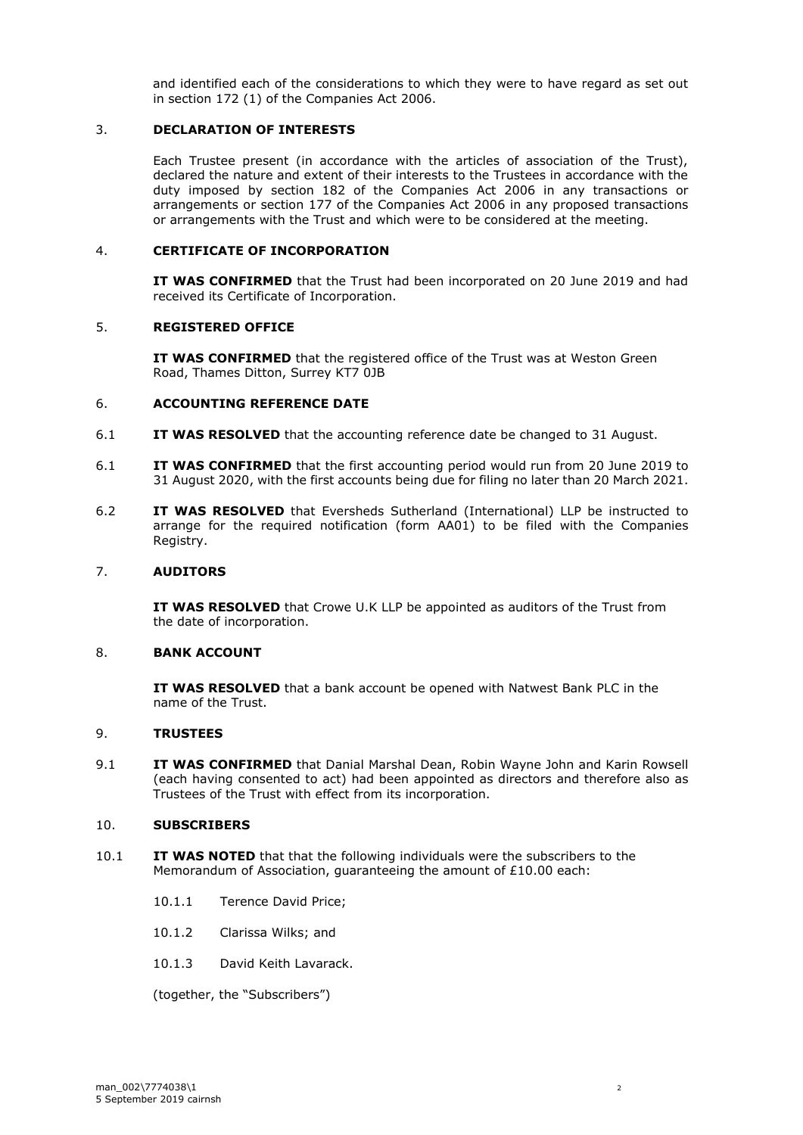and identified each of the considerations to which they were to have regard as set out in section 172 (1) of the Companies Act 2006.

# 3. **DECLARATION OF INTERESTS**

Each Trustee present (in accordance with the articles of association of the Trust), declared the nature and extent of their interests to the Trustees in accordance with the duty imposed by section 182 of the Companies Act 2006 in any transactions or arrangements or section 177 of the Companies Act 2006 in any proposed transactions or arrangements with the Trust and which were to be considered at the meeting.

### 4. **CERTIFICATE OF INCORPORATION**

**IT WAS CONFIRMED** that the Trust had been incorporated on 20 June 2019 and had received its Certificate of Incorporation.

### 5. **REGISTERED OFFICE**

**IT WAS CONFIRMED** that the registered office of the Trust was at Weston Green Road, Thames Ditton, Surrey KT7 0JB

### 6. **ACCOUNTING REFERENCE DATE**

- 6.1 **IT WAS RESOLVED** that the accounting reference date be changed to 31 August.
- 6.1 **IT WAS CONFIRMED** that the first accounting period would run from 20 June 2019 to 31 August 2020, with the first accounts being due for filing no later than 20 March 2021.
- 6.2 **IT WAS RESOLVED** that Eversheds Sutherland (International) LLP be instructed to arrange for the required notification (form AA01) to be filed with the Companies Registry.

### 7. **AUDITORS**

**IT WAS RESOLVED** that Crowe U.K LLP be appointed as auditors of the Trust from the date of incorporation.

### 8. **BANK ACCOUNT**

**IT WAS RESOLVED** that a bank account be opened with Natwest Bank PLC in the name of the Trust.

## 9. **TRUSTEES**

9.1 **IT WAS CONFIRMED** that Danial Marshal Dean, Robin Wayne John and Karin Rowsell (each having consented to act) had been appointed as directors and therefore also as Trustees of the Trust with effect from its incorporation.

### 10. **SUBSCRIBERS**

- 10.1 **IT WAS NOTED** that that the following individuals were the subscribers to the Memorandum of Association, guaranteeing the amount of £10.00 each:
	- 10.1.1 Terence David Price;
	- 10.1.2 Clarissa Wilks; and
	- 10.1.3 David Keith Lavarack.

(together, the "Subscribers")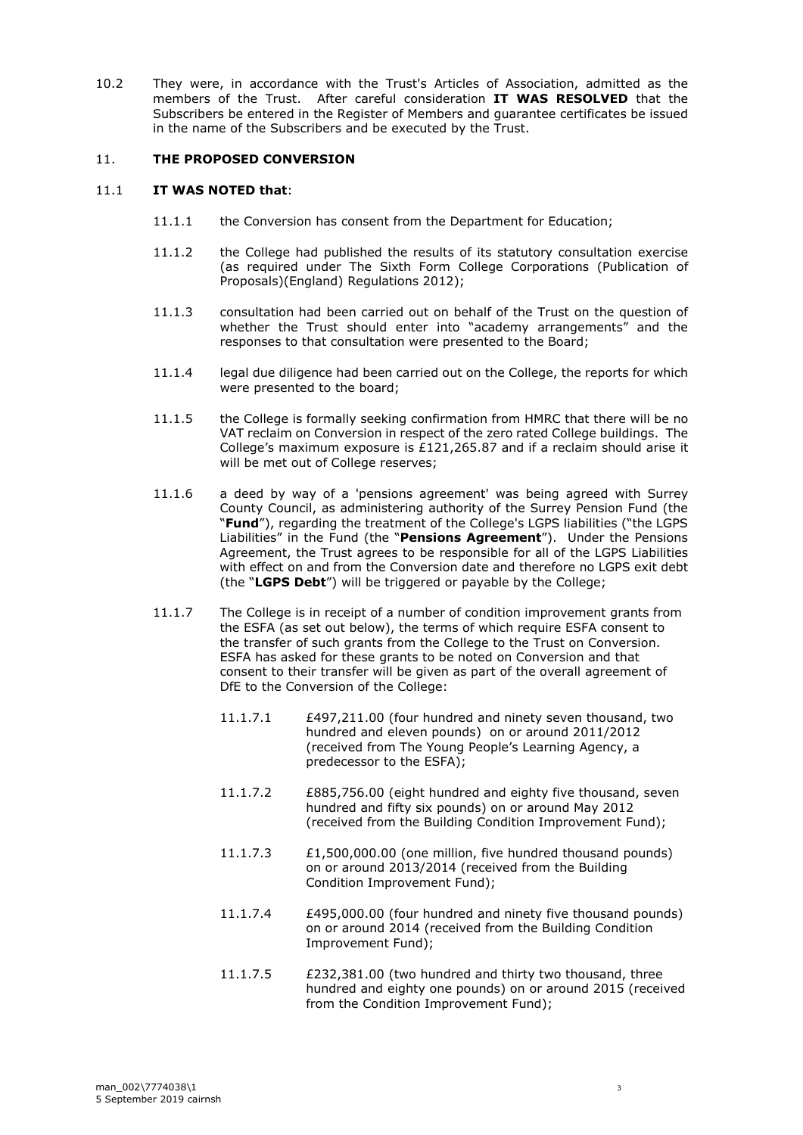10.2 They were, in accordance with the Trust's Articles of Association, admitted as the members of the Trust. After careful consideration **IT WAS RESOLVED** that the Subscribers be entered in the Register of Members and guarantee certificates be issued in the name of the Subscribers and be executed by the Trust.

## 11. **THE PROPOSED CONVERSION**

### 11.1 **IT WAS NOTED that**:

- 11.1.1 the Conversion has consent from the Department for Education;
- 11.1.2 the College had published the results of its statutory consultation exercise (as required under The Sixth Form College Corporations (Publication of Proposals)(England) Regulations 2012);
- 11.1.3 consultation had been carried out on behalf of the Trust on the question of whether the Trust should enter into "academy arrangements" and the responses to that consultation were presented to the Board;
- 11.1.4 legal due diligence had been carried out on the College, the reports for which were presented to the board;
- 11.1.5 the College is formally seeking confirmation from HMRC that there will be no VAT reclaim on Conversion in respect of the zero rated College buildings. The College's maximum exposure is £121,265.87 and if a reclaim should arise it will be met out of College reserves;
- 11.1.6 a deed by way of a 'pensions agreement' was being agreed with Surrey County Council, as administering authority of the Surrey Pension Fund (the "**Fund**"), regarding the treatment of the College's LGPS liabilities ("the LGPS Liabilities" in the Fund (the "**Pensions Agreement**"). Under the Pensions Agreement, the Trust agrees to be responsible for all of the LGPS Liabilities with effect on and from the Conversion date and therefore no LGPS exit debt (the "**LGPS Debt**") will be triggered or payable by the College;
- 11.1.7 The College is in receipt of a number of condition improvement grants from the ESFA (as set out below), the terms of which require ESFA consent to the transfer of such grants from the College to the Trust on Conversion. ESFA has asked for these grants to be noted on Conversion and that consent to their transfer will be given as part of the overall agreement of DfE to the Conversion of the College:
	- 11.1.7.1 £497,211.00 (four hundred and ninety seven thousand, two hundred and eleven pounds) on or around 2011/2012 (received from The Young People's Learning Agency, a predecessor to the ESFA);
	- 11.1.7.2 £885,756.00 (eight hundred and eighty five thousand, seven hundred and fifty six pounds) on or around May 2012 (received from the Building Condition Improvement Fund);
	- 11.1.7.3 £1,500,000.00 (one million, five hundred thousand pounds) on or around 2013/2014 (received from the Building Condition Improvement Fund);
	- 11.1.7.4 £495,000.00 (four hundred and ninety five thousand pounds) on or around 2014 (received from the Building Condition Improvement Fund);
	- 11.1.7.5 £232,381.00 (two hundred and thirty two thousand, three hundred and eighty one pounds) on or around 2015 (received from the Condition Improvement Fund);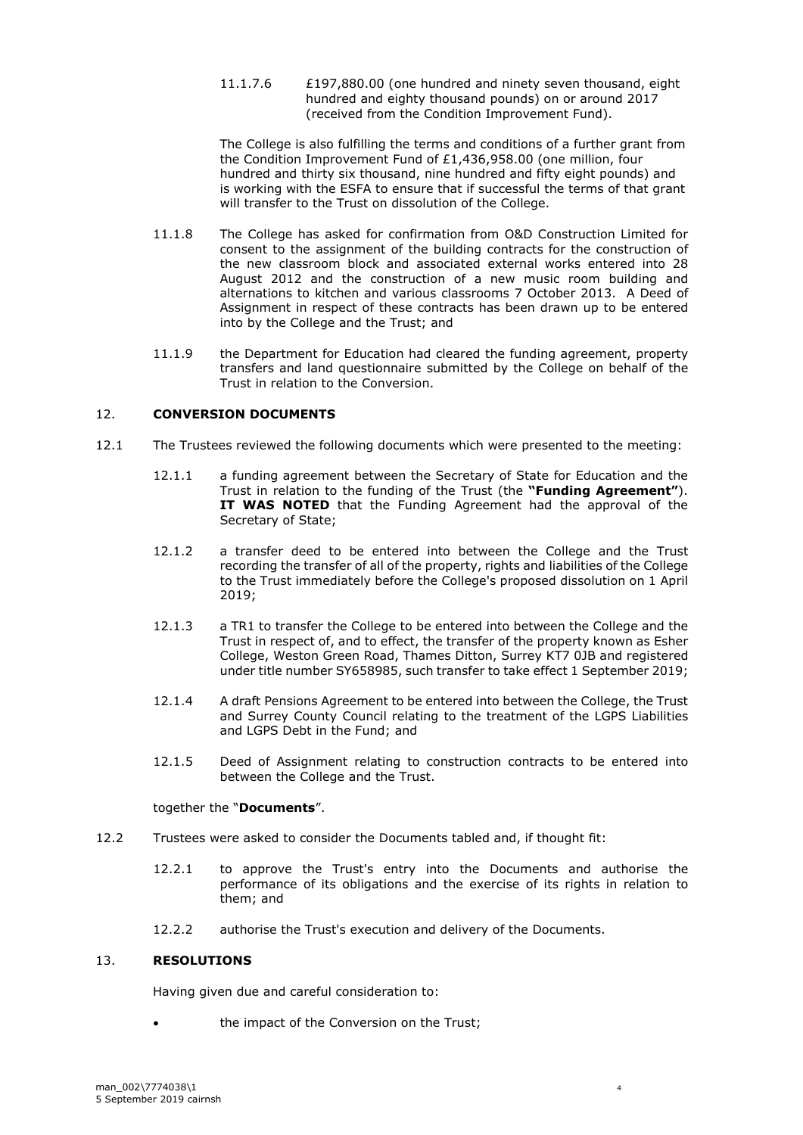#### 11.1.7.6 £197,880.00 (one hundred and ninety seven thousand, eight hundred and eighty thousand pounds) on or around 2017 (received from the Condition Improvement Fund).

The College is also fulfilling the terms and conditions of a further grant from the Condition Improvement Fund of £1,436,958.00 (one million, four hundred and thirty six thousand, nine hundred and fifty eight pounds) and is working with the ESFA to ensure that if successful the terms of that grant will transfer to the Trust on dissolution of the College.

- 11.1.8 The College has asked for confirmation from O&D Construction Limited for consent to the assignment of the building contracts for the construction of the new classroom block and associated external works entered into 28 August 2012 and the construction of a new music room building and alternations to kitchen and various classrooms 7 October 2013. A Deed of Assignment in respect of these contracts has been drawn up to be entered into by the College and the Trust; and
- 11.1.9 the Department for Education had cleared the funding agreement, property transfers and land questionnaire submitted by the College on behalf of the Trust in relation to the Conversion.

# 12. **CONVERSION DOCUMENTS**

- 12.1 The Trustees reviewed the following documents which were presented to the meeting:
	- 12.1.1 a funding agreement between the Secretary of State for Education and the Trust in relation to the funding of the Trust (the **"Funding Agreement"**). **IT WAS NOTED** that the Funding Agreement had the approval of the Secretary of State;
	- 12.1.2 a transfer deed to be entered into between the College and the Trust recording the transfer of all of the property, rights and liabilities of the College to the Trust immediately before the College's proposed dissolution on 1 April 2019;
	- 12.1.3 a TR1 to transfer the College to be entered into between the College and the Trust in respect of, and to effect, the transfer of the property known as Esher College, Weston Green Road, Thames Ditton, Surrey KT7 0JB and registered under title number SY658985, such transfer to take effect 1 September 2019;
	- 12.1.4 A draft Pensions Agreement to be entered into between the College, the Trust and Surrey County Council relating to the treatment of the LGPS Liabilities and LGPS Debt in the Fund; and
	- 12.1.5 Deed of Assignment relating to construction contracts to be entered into between the College and the Trust.

### together the "**Documents**".

- 12.2 Trustees were asked to consider the Documents tabled and, if thought fit:
	- 12.2.1 to approve the Trust's entry into the Documents and authorise the performance of its obligations and the exercise of its rights in relation to them; and
	- 12.2.2 authorise the Trust's execution and delivery of the Documents.

### 13. **RESOLUTIONS**

Having given due and careful consideration to:

the impact of the Conversion on the Trust;